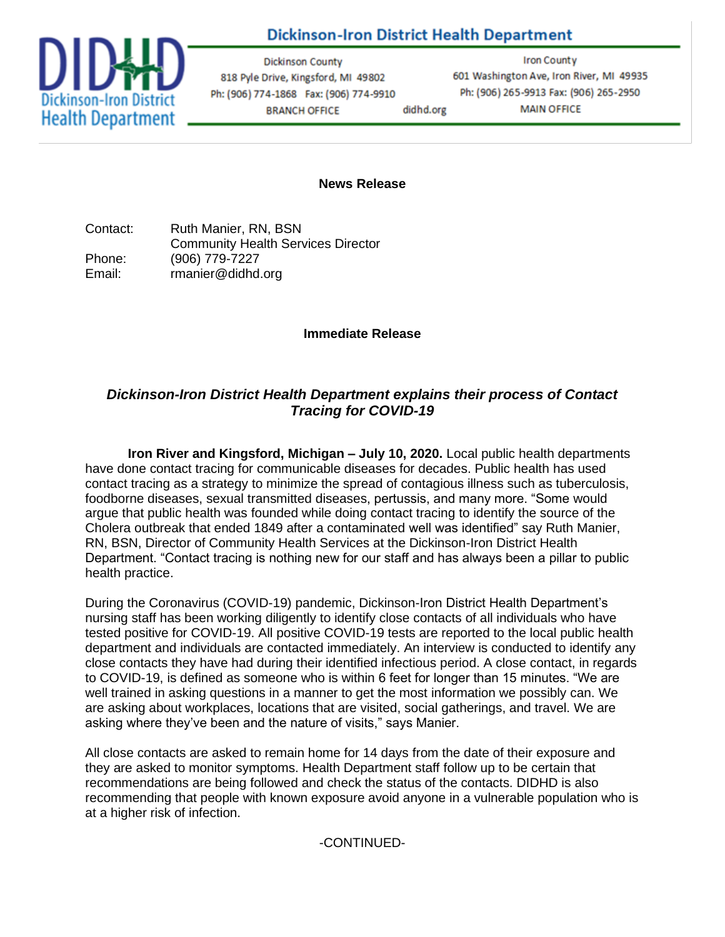# **Dickinson-Iron District Health Department**



**Dickinson County** 818 Pyle Drive, Kingsford, MI 49802 Ph: (906) 774-1868 Fax: (906) 774-9910 **BRANCH OFFICE** didhd.org

**Iron County** 601 Washington Ave, Iron River, MI 49935 Ph: (906) 265-9913 Fax: (906) 265-2950 **MAIN OFFICE** 

#### **News Release**

Contact: Ruth Manier, RN, BSN Community Health Services Director Phone: (906) 779-7227 Email: rmanier@didhd.org

### **Immediate Release**

## *Dickinson-Iron District Health Department explains their process of Contact Tracing for COVID-19*

**Iron River and Kingsford, Michigan – July 10, 2020.** Local public health departments have done contact tracing for communicable diseases for decades. Public health has used contact tracing as a strategy to minimize the spread of contagious illness such as tuberculosis, foodborne diseases, sexual transmitted diseases, pertussis, and many more. "Some would argue that public health was founded while doing contact tracing to identify the source of the Cholera outbreak that ended 1849 after a contaminated well was identified" say Ruth Manier, RN, BSN, Director of Community Health Services at the Dickinson-Iron District Health Department. "Contact tracing is nothing new for our staff and has always been a pillar to public health practice.

During the Coronavirus (COVID-19) pandemic, Dickinson-Iron District Health Department's nursing staff has been working diligently to identify close contacts of all individuals who have tested positive for COVID-19. All positive COVID-19 tests are reported to the local public health department and individuals are contacted immediately. An interview is conducted to identify any close contacts they have had during their identified infectious period. A close contact, in regards to COVID-19, is defined as someone who is within 6 feet for longer than 15 minutes. "We are well trained in asking questions in a manner to get the most information we possibly can. We are asking about workplaces, locations that are visited, social gatherings, and travel. We are asking where they've been and the nature of visits," says Manier.

All close contacts are asked to remain home for 14 days from the date of their exposure and they are asked to monitor symptoms. Health Department staff follow up to be certain that recommendations are being followed and check the status of the contacts. DIDHD is also recommending that people with known exposure avoid anyone in a vulnerable population who is at a higher risk of infection.

### -CONTINUED-